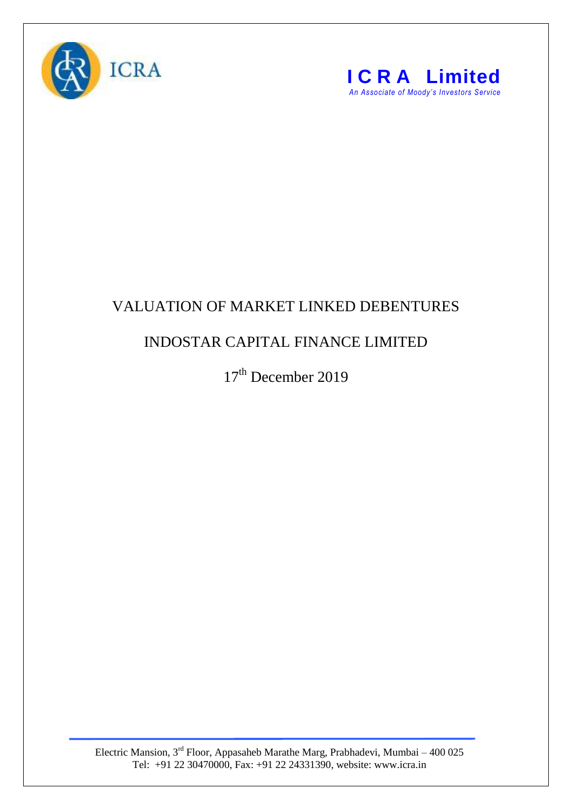



## VALUATION OF MARKET LINKED DEBENTURES

## INDOSTAR CAPITAL FINANCE LIMITED

17<sup>th</sup> December 2019